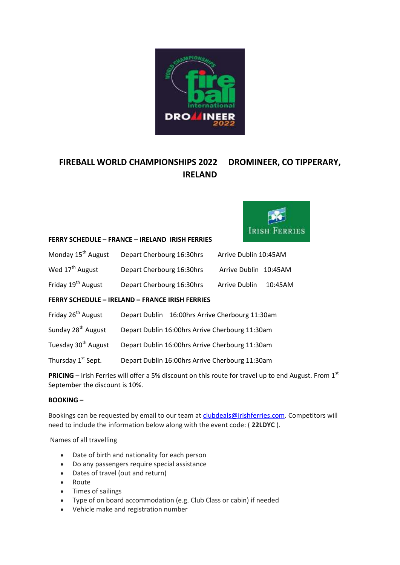

# **FIREBALL WORLD CHAMPIONSHIPS 2022 DROMINEER, CO TIPPERARY, IRELAND**



#### **FERRY SCHEDULE – FRANCE – IRELAND IRISH FERRIES**

| Monday 15 <sup>th</sup> August                         | Depart Cherbourg 16:30hrs | Arrive Dublin 10:45AM |         |  |  |
|--------------------------------------------------------|---------------------------|-----------------------|---------|--|--|
| Wed 17 <sup>th</sup> August                            | Depart Cherbourg 16:30hrs | Arrive Dublin 10:45AM |         |  |  |
| Friday 19 <sup>th</sup> August                         | Depart Cherbourg 16:30hrs | Arrive Dublin         | 10:45AM |  |  |
| <b>FERRY SCHEDULE - IRELAND - FRANCE IRISH FERRIES</b> |                           |                       |         |  |  |
|                                                        |                           |                       |         |  |  |

- Friday 26<sup>th</sup> August Depart Dublin 16:00hrs Arrive Cherbourg 11:30am
- Sunday 28<sup>th</sup> August Depart Dublin 16:00hrs Arrive Cherbourg 11:30am
- Tuesday 30<sup>th</sup> August Depart Dublin 16:00hrs Arrive Cherbourg 11:30am
- Thursday 1<sup>st</sup> Sept. Depart Dublin 16:00hrs Arrive Cherbourg 11:30am

**PRICING** – Irish Ferries will offer a 5% discount on this route for travel up to end August. From 1<sup>st</sup> September the discount is 10%.

# **BOOKING –**

Bookings can be requested by email to our team at [clubdeals@irishferries.com.](mailto:clubdeals@irishferries.com) Competitors will need to include the information below along with the event code: ( **22LDYC** ).

Names of all travelling

- Date of birth and nationality for each person
- Do any passengers require special assistance
- Dates of travel (out and return)
- Route
- Times of sailings
- Type of on board accommodation (e.g. Club Class or cabin) if needed
- Vehicle make and registration number